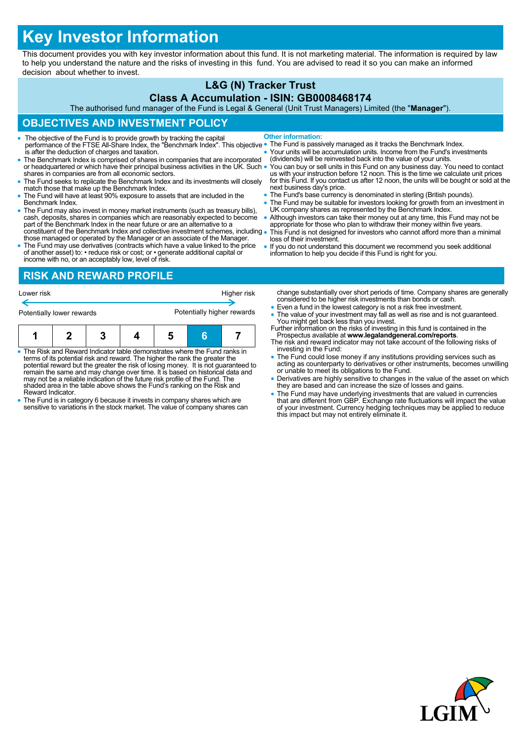# **Key Investor Information**

This document provides you with key investor information about this fund. It is not marketing material. The information is required by law to help you understand the nature and the risks of investing in this fund. You are advised to read it so you can make an informed decision about whether to invest.

## **L&G (N) Tracker Trust**

#### **Class A Accumulation - ISIN: GB0008468174**

The authorised fund manager of the Fund is Legal & General (Unit Trust Managers) Limited (the "**Manager**").

## **OBJECTIVES AND INVESTMENT POLICY**

- The objective of the Fund is to provide growth by tracking the capital performance of the FTSE All-Share Index, the "Benchmark Index". This objective is after the deduction of charges and taxation. **Other information:**
- The Benchmark Index is comprised of shares in companies that are incorporated or headquartered or which have their principal business activities in the UK. Such . shares in companies are from all economic sectors.
- The Fund seeks to replicate the Benchmark Index and its investments will closely match those that make up the Benchmark Index.
- The Fund will have at least 90% exposure to assets that are included in the Benchmark Index.
- The Fund may also invest in money market instruments (such as treasury bills), cash, deposits, shares in companies which are reasonably expected to become part of the Benchmark Index in the near future or are an alternat constituent of the Benchmark Index and collective investment schemes, including
- those managed or operated by the Manager or an associate of the Manager. The Fund may use derivatives (contracts which have a value linked to the price of another asset) to: • reduce risk or cost; or • generate additional capital or
- The Fund is passively managed as it tracks the Benchmark Index.
- Your units will be accumulation units. Income from the Fund's investments (dividends) will be reinvested back into the value of your units.
- You can buy or sell units in this Fund on any business day. You need to contact<br>us with your instruction before 12 noon. This is the time we calculate unit prices<br>for this Fund. If you contact us after 12 noon, the units next business day's price.
- The Fund's base currency is denominated in sterling (British pounds).
- The Fund may be suitable for investors looking for growth from an investment in UK company shares as represented by the Benchmark Index.
- Although investors can take their money out at any time, this Fund may not be appropriate for those who plan to withdraw their money within five years. This Fund is not designed for investors who cannot afford more than a minimal
- loss of their investment. If you do not understand this document we recommend you seek additional
- information to help you decide if this Fund is right for you.

income with no, or an acceptably low, level of risk. **RISK AND REWARD PROFILE**

| Lower risk                |  |   |  |                            | Higher risk |  |
|---------------------------|--|---|--|----------------------------|-------------|--|
| Potentially lower rewards |  |   |  | Potentially higher rewards |             |  |
|                           |  | 3 |  |                            | F           |  |

- The Risk and Reward Indicator table demonstrates where the Fund ranks in<br>terms of its potential risk and reward. The higher the rank the greater the<br>potential reward but the greater the risk of losing money. It is not gu may not be a reliable indication of the future risk profile of the Fund. The shaded area in the table above shows the Fund's ranking on the Risk and Reward Indicator.
- The Fund is in category 6 because it invests in company shares which are sensitive to variations in the stock market. The value of company shares can
- change substantially over short periods of time. Company shares are generally considered to be higher risk investments than bonds or cash.
- Even a fund in the lowest category is not a risk free investment.
- The value of your investment may fall as well as rise and is not guaranteed.
- You might get back less than you invest. Further information on the risks of investing in this fund is contained in the Prospectus available at **www.legalandgeneral.com/reports**. The risk and reward indicator may not take account of the following risks of
- investing in the Fund: The Fund could lose money if any institutions providing services such as
- acting as counterparty to derivatives or other instruments, becomes unwilling or unable to meet its obligations to the Fund.
- Derivatives are highly sensitive to changes in the value of the asset on which they are based and can increase the size of losses and gains.
- The Fund may have underlying investments that are valued in currencies that are different from GBP. Exchange rate fluctuations will impact the value of your investment. Currency hedging techniques may be applied to reduce this impact but may not entirely eliminate it.